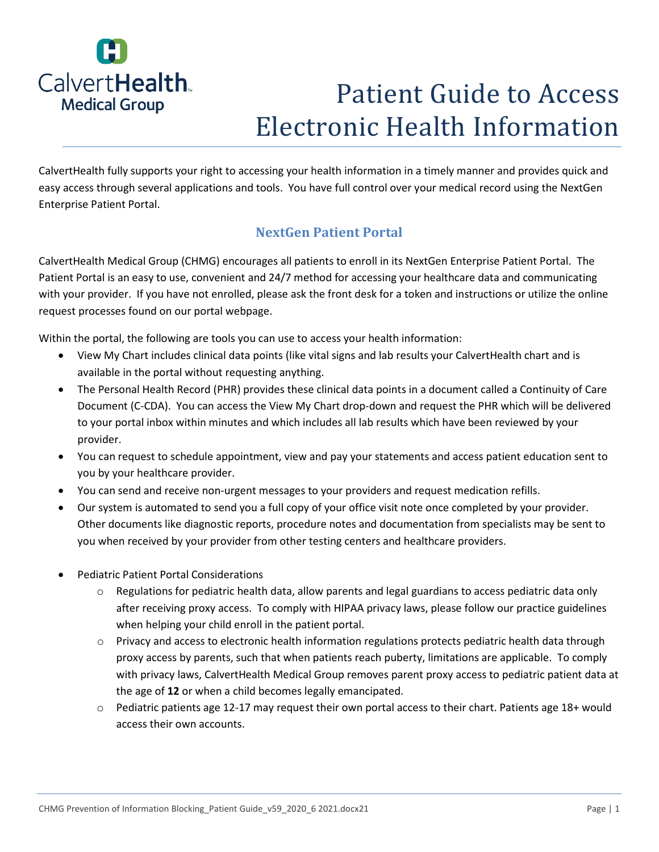

# Patient Guide to Access Electronic Health Information

CalvertHealth fully supports your right to accessing your health information in a timely manner and provides quick and easy access through several applications and tools. You have full control over your medical record using the NextGen Enterprise Patient Portal.

## **NextGen Patient Portal**

CalvertHealth Medical Group (CHMG) encourages all patients to enroll in its NextGen Enterprise Patient Portal. The Patient Portal is an easy to use, convenient and 24/7 method for accessing your healthcare data and communicating with your provider. If you have not enrolled, please ask the front desk for a token and instructions or utilize the online request processes found on our portal webpage.

Within the portal, the following are tools you can use to access your health information:

- View My Chart includes clinical data points (like vital signs and lab results your CalvertHealth chart and is available in the portal without requesting anything.
- The Personal Health Record (PHR) provides these clinical data points in a document called a Continuity of Care Document (C-CDA). You can access the View My Chart drop-down and request the PHR which will be delivered to your portal inbox within minutes and which includes all lab results which have been reviewed by your provider.
- You can request to schedule appointment, view and pay your statements and access patient education sent to you by your healthcare provider.
- You can send and receive non-urgent messages to your providers and request medication refills.
- Our system is automated to send you a full copy of your office visit note once completed by your provider. Other documents like diagnostic reports, procedure notes and documentation from specialists may be sent to you when received by your provider from other testing centers and healthcare providers.
- Pediatric Patient Portal Considerations
	- $\circ$  Regulations for pediatric health data, allow parents and legal guardians to access pediatric data only after receiving proxy access. To comply with HIPAA privacy laws, please follow our practice guidelines when helping your child enroll in the patient portal.
	- $\circ$  Privacy and access to electronic health information regulations protects pediatric health data through proxy access by parents, such that when patients reach puberty, limitations are applicable. To comply with privacy laws, CalvertHealth Medical Group removes parent proxy access to pediatric patient data at the age of **12** or when a child becomes legally emancipated.
	- o Pediatric patients age 12-17 may request their own portal access to their chart. Patients age 18+ would access their own accounts.